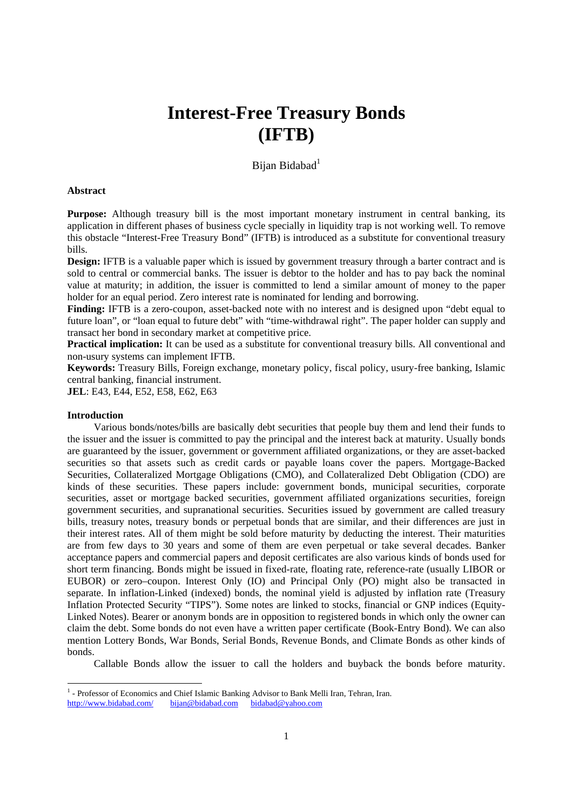# **Interest-Free Treasury Bonds (IFTB)**

## Bijan Bidabad<sup>1</sup>

## **Abstract**

**Purpose:** Although treasury bill is the most important monetary instrument in central banking, its application in different phases of business cycle specially in liquidity trap is not working well. To remove this obstacle "Interest-Free Treasury Bond" (IFTB) is introduced as a substitute for conventional treasury bills.

**Design:** IFTB is a valuable paper which is issued by government treasury through a barter contract and is sold to central or commercial banks. The issuer is debtor to the holder and has to pay back the nominal value at maturity; in addition, the issuer is committed to lend a similar amount of money to the paper holder for an equal period. Zero interest rate is nominated for lending and borrowing.

**Finding:** IFTB is a zero-coupon, asset-backed note with no interest and is designed upon "debt equal to future loan", or "loan equal to future debt" with "time-withdrawal right". The paper holder can supply and transact her bond in secondary market at competitive price.

**Practical implication:** It can be used as a substitute for conventional treasury bills. All conventional and non-usury systems can implement IFTB.

**Keywords:** Treasury Bills, Foreign exchange, monetary policy, fiscal policy, usury-free banking, Islamic central banking, financial instrument.

**JEL**: E43, E44, E52, E58, E62, E63

## **Introduction**

-

Various bonds/notes/bills are basically debt securities that people buy them and lend their funds to the issuer and the issuer is committed to pay the principal and the interest back at maturity. Usually bonds are guaranteed by the issuer, government or government affiliated organizations, or they are asset-backed securities so that assets such as credit cards or payable loans cover the papers. Mortgage-Backed Securities, Collateralized Mortgage Obligations (CMO), and Collateralized Debt Obligation (CDO) are kinds of these securities. These papers include: government bonds, municipal securities, corporate securities, asset or mortgage backed securities, government affiliated organizations securities, foreign government securities, and supranational securities. Securities issued by government are called treasury bills, treasury notes, treasury bonds or perpetual bonds that are similar, and their differences are just in their interest rates. All of them might be sold before maturity by deducting the interest. Their maturities are from few days to 30 years and some of them are even perpetual or take several decades. Banker acceptance papers and commercial papers and deposit certificates are also various kinds of bonds used for short term financing. Bonds might be issued in fixed-rate, floating rate, reference-rate (usually LIBOR or EUBOR) or zero–coupon. Interest Only (IO) and Principal Only (PO) might also be transacted in separate. In inflation-Linked (indexed) bonds, the nominal yield is adjusted by inflation rate (Treasury Inflation Protected Security "TIPS"). Some notes are linked to stocks, financial or GNP indices (Equity-Linked Notes). Bearer or anonym bonds are in opposition to registered bonds in which only the owner can claim the debt. Some bonds do not even have a written paper certificate (Book-Entry Bond). We can also mention Lottery Bonds, War Bonds, Serial Bonds, Revenue Bonds, and Climate Bonds as other kinds of bonds.

Callable Bonds allow the issuer to call the holders and buyback the bonds before maturity.

<sup>&</sup>lt;sup>1</sup> - Professor of Economics and Chief Islamic Banking Advisor to Bank Melli Iran, Tehran, Iran. http://www.bidabad.com/ bijan@bidabad.com bidabad@yahoo.com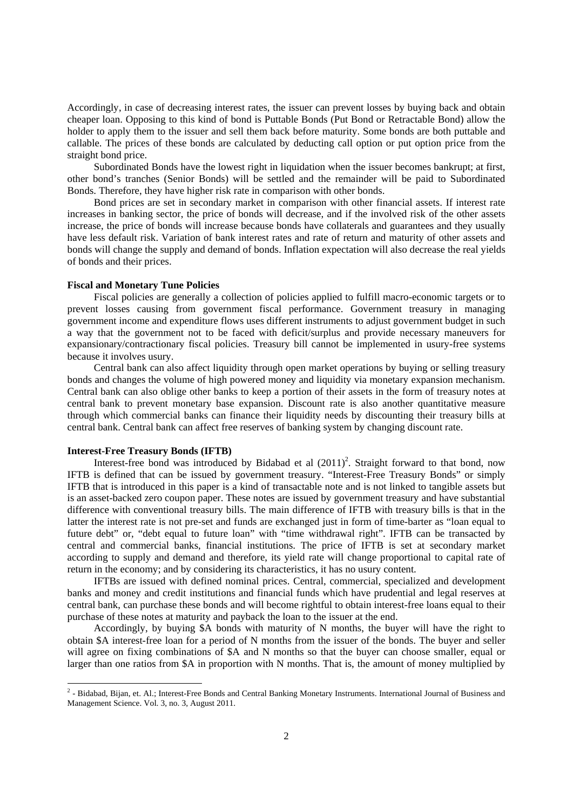Accordingly, in case of decreasing interest rates, the issuer can prevent losses by buying back and obtain cheaper loan. Opposing to this kind of bond is Puttable Bonds (Put Bond or Retractable Bond) allow the holder to apply them to the issuer and sell them back before maturity. Some bonds are both puttable and callable. The prices of these bonds are calculated by deducting call option or put option price from the straight bond price.

Subordinated Bonds have the lowest right in liquidation when the issuer becomes bankrupt; at first, other bond's tranches (Senior Bonds) will be settled and the remainder will be paid to Subordinated Bonds. Therefore, they have higher risk rate in comparison with other bonds.

Bond prices are set in secondary market in comparison with other financial assets. If interest rate increases in banking sector, the price of bonds will decrease, and if the involved risk of the other assets increase, the price of bonds will increase because bonds have collaterals and guarantees and they usually have less default risk. Variation of bank interest rates and rate of return and maturity of other assets and bonds will change the supply and demand of bonds. Inflation expectation will also decrease the real yields of bonds and their prices.

## **Fiscal and Monetary Tune Policies**

Fiscal policies are generally a collection of policies applied to fulfill macro-economic targets or to prevent losses causing from government fiscal performance. Government treasury in managing government income and expenditure flows uses different instruments to adjust government budget in such a way that the government not to be faced with deficit/surplus and provide necessary maneuvers for expansionary/contractionary fiscal policies. Treasury bill cannot be implemented in usury-free systems because it involves usury.

Central bank can also affect liquidity through open market operations by buying or selling treasury bonds and changes the volume of high powered money and liquidity via monetary expansion mechanism. Central bank can also oblige other banks to keep a portion of their assets in the form of treasury notes at central bank to prevent monetary base expansion. Discount rate is also another quantitative measure through which commercial banks can finance their liquidity needs by discounting their treasury bills at central bank. Central bank can affect free reserves of banking system by changing discount rate.

## **Interest-Free Treasury Bonds (IFTB)**

Interest-free bond was introduced by Bidabad et al  $(2011)^2$ . Straight forward to that bond, now IFTB is defined that can be issued by government treasury. "Interest-Free Treasury Bonds" or simply IFTB that is introduced in this paper is a kind of transactable note and is not linked to tangible assets but is an asset-backed zero coupon paper. These notes are issued by government treasury and have substantial difference with conventional treasury bills. The main difference of IFTB with treasury bills is that in the latter the interest rate is not pre-set and funds are exchanged just in form of time-barter as "loan equal to future debt" or, "debt equal to future loan" with "time withdrawal right". IFTB can be transacted by central and commercial banks, financial institutions. The price of IFTB is set at secondary market according to supply and demand and therefore, its yield rate will change proportional to capital rate of return in the economy; and by considering its characteristics, it has no usury content.

IFTBs are issued with defined nominal prices. Central, commercial, specialized and development banks and money and credit institutions and financial funds which have prudential and legal reserves at central bank, can purchase these bonds and will become rightful to obtain interest-free loans equal to their purchase of these notes at maturity and payback the loan to the issuer at the end.

Accordingly, by buying \$A bonds with maturity of N months, the buyer will have the right to obtain \$A interest-free loan for a period of N months from the issuer of the bonds. The buyer and seller will agree on fixing combinations of \$A and N months so that the buyer can choose smaller, equal or larger than one ratios from \$A in proportion with N months. That is, the amount of money multiplied by

<sup>&</sup>lt;u>2</u><br>2 - Bidabad, Bijan, et. Al.; Interest-Free Bonds and Central Banking Monetary Instruments. International Journal of Business and Management Science. Vol. 3, no. 3, August 2011.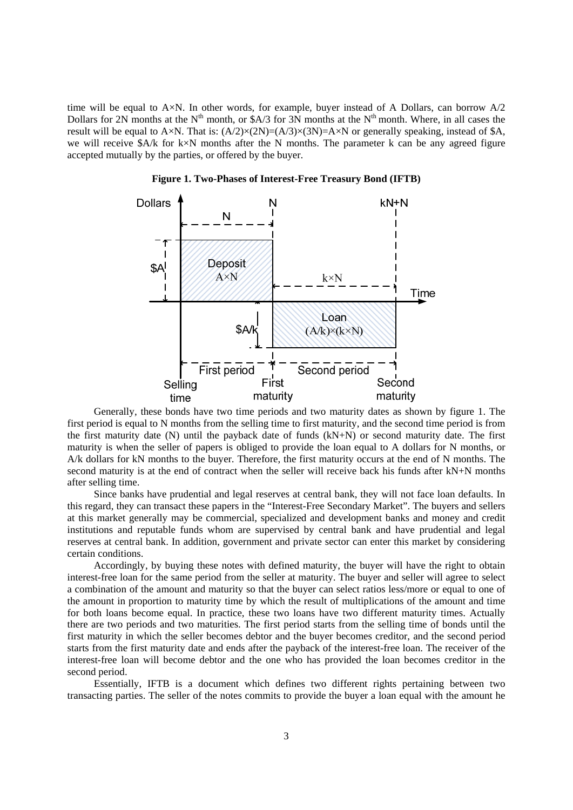time will be equal to A×N. In other words, for example, buyer instead of A Dollars, can borrow A/2 Dollars for 2N months at the  $N^{th}$  month, or \$A/3 for 3N months at the  $N^{th}$  month. Where, in all cases the result will be equal to A×N. That is:  $(A/2) \times (2N) = (A/3) \times (3N) = A \times N$  or generally speaking, instead of \$A, we will receive \$A/k for k×N months after the N months. The parameter k can be any agreed figure accepted mutually by the parties, or offered by the buyer.



**Figure 1. Two-Phases of Interest-Free Treasury Bond (IFTB)**

Generally, these bonds have two time periods and two maturity dates as shown by figure 1. The first period is equal to N months from the selling time to first maturity, and the second time period is from the first maturity date (N) until the payback date of funds (kN+N) or second maturity date. The first maturity is when the seller of papers is obliged to provide the loan equal to A dollars for N months, or A/k dollars for kN months to the buyer. Therefore, the first maturity occurs at the end of N months. The second maturity is at the end of contract when the seller will receive back his funds after kN+N months after selling time.

Since banks have prudential and legal reserves at central bank, they will not face loan defaults. In this regard, they can transact these papers in the "Interest-Free Secondary Market". The buyers and sellers at this market generally may be commercial, specialized and development banks and money and credit institutions and reputable funds whom are supervised by central bank and have prudential and legal reserves at central bank. In addition, government and private sector can enter this market by considering certain conditions.

Accordingly, by buying these notes with defined maturity, the buyer will have the right to obtain interest-free loan for the same period from the seller at maturity. The buyer and seller will agree to select a combination of the amount and maturity so that the buyer can select ratios less/more or equal to one of the amount in proportion to maturity time by which the result of multiplications of the amount and time for both loans become equal. In practice, these two loans have two different maturity times. Actually there are two periods and two maturities. The first period starts from the selling time of bonds until the first maturity in which the seller becomes debtor and the buyer becomes creditor, and the second period starts from the first maturity date and ends after the payback of the interest-free loan. The receiver of the interest-free loan will become debtor and the one who has provided the loan becomes creditor in the second period.

Essentially, IFTB is a document which defines two different rights pertaining between two transacting parties. The seller of the notes commits to provide the buyer a loan equal with the amount he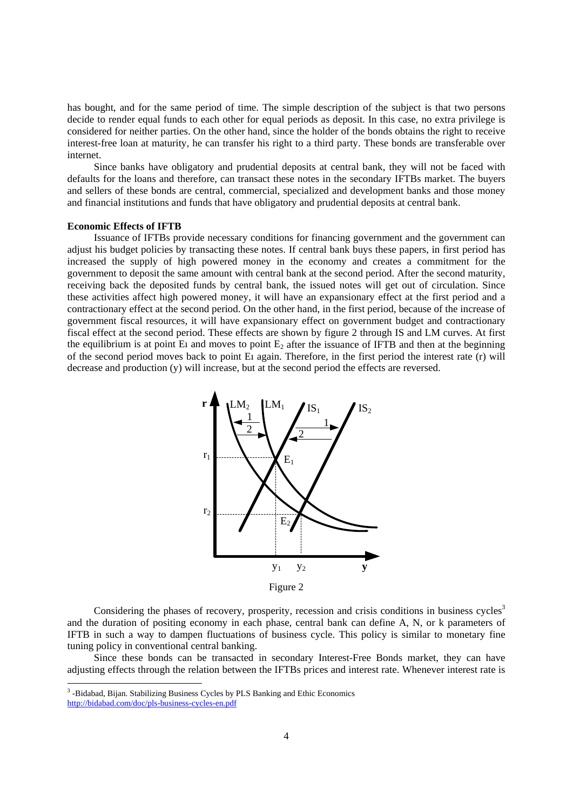has bought, and for the same period of time. The simple description of the subject is that two persons decide to render equal funds to each other for equal periods as deposit. In this case, no extra privilege is considered for neither parties. On the other hand, since the holder of the bonds obtains the right to receive interest-free loan at maturity, he can transfer his right to a third party. These bonds are transferable over internet.

Since banks have obligatory and prudential deposits at central bank, they will not be faced with defaults for the loans and therefore, can transact these notes in the secondary IFTBs market. The buyers and sellers of these bonds are central, commercial, specialized and development banks and those money and financial institutions and funds that have obligatory and prudential deposits at central bank.

## **Economic Effects of IFTB**

Issuance of IFTBs provide necessary conditions for financing government and the government can adjust his budget policies by transacting these notes. If central bank buys these papers, in first period has increased the supply of high powered money in the economy and creates a commitment for the government to deposit the same amount with central bank at the second period. After the second maturity, receiving back the deposited funds by central bank, the issued notes will get out of circulation. Since these activities affect high powered money, it will have an expansionary effect at the first period and a contractionary effect at the second period. On the other hand, in the first period, because of the increase of government fiscal resources, it will have expansionary effect on government budget and contractionary fiscal effect at the second period. These effects are shown by figure 2 through IS and LM curves. At first the equilibrium is at point E<sub>1</sub> and moves to point  $E_2$  after the issuance of IFTB and then at the beginning of the second period moves back to point Eı again. Therefore, in the first period the interest rate (r) will decrease and production (y) will increase, but at the second period the effects are reversed.



Figure 2

Considering the phases of recovery, prosperity, recession and crisis conditions in business cycles<sup>3</sup> and the duration of positing economy in each phase, central bank can define A, N, or k parameters of IFTB in such a way to dampen fluctuations of business cycle. This policy is similar to monetary fine tuning policy in conventional central banking.

Since these bonds can be transacted in secondary Interest-Free Bonds market, they can have adjusting effects through the relation between the IFTBs prices and interest rate. Whenever interest rate is

-

<sup>&</sup>lt;sup>3</sup>-Bidabad, Bijan. Stabilizing Business Cycles by PLS Banking and Ethic Economics

http://bidabad.com/doc/pls-business-cycles-en.pdf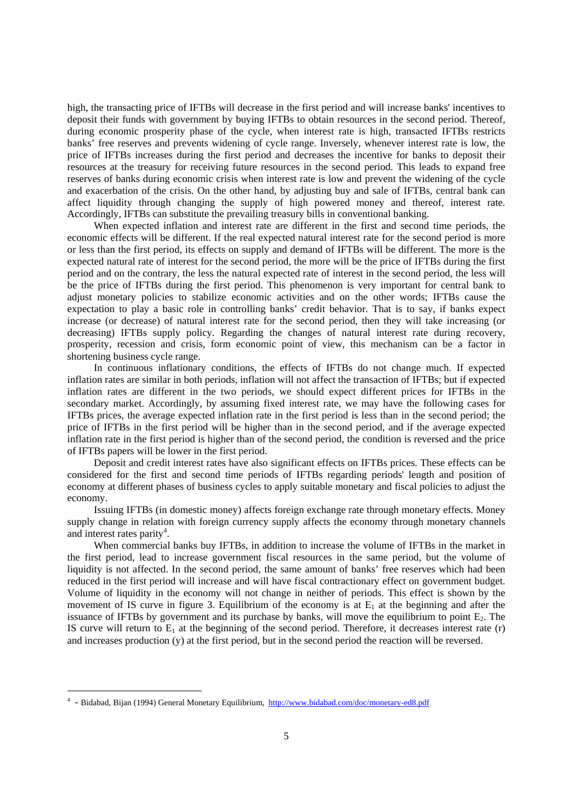high, the transacting price of IFTBs will decrease in the first period and will increase banks' incentives to deposit their funds with government by buying IFTBs to obtain resources in the second period. Thereof, during economic prosperity phase of the cycle, when interest rate is high, transacted IFTBs restricts banks' free reserves and prevents widening of cycle range. Inversely, whenever interest rate is low, the price of IFTBs increases during the first period and decreases the incentive for banks to deposit their resources at the treasury for receiving future resources in the second period. This leads to expand free reserves of banks during economic crisis when interest rate is low and prevent the widening of the cycle and exacerbation of the crisis. On the other hand, by adjusting buy and sale of IFTBs, central bank can affect liquidity through changing the supply of high powered money and thereof, interest rate. Accordingly, IFTBs can substitute the prevailing treasury bills in conventional banking.

When expected inflation and interest rate are different in the first and second time periods, the economic effects will be different. If the real expected natural interest rate for the second period is more or less than the first period, its effects on supply and demand of IFTBs will be different. The more is the expected natural rate of interest for the second period, the more will be the price of IFTBs during the first period and on the contrary, the less the natural expected rate of interest in the second period, the less will be the price of IFTBs during the first period. This phenomenon is very important for central bank to adjust monetary policies to stabilize economic activities and on the other words; IFTBs cause the expectation to play a basic role in controlling banks' credit behavior. That is to say, if banks expect increase (or decrease) of natural interest rate for the second period, then they will take increasing (or decreasing) IFTBs supply policy. Regarding the changes of natural interest rate during recovery, prosperity, recession and crisis, form economic point of view, this mechanism can be a factor in shortening business cycle range.

In continuous inflationary conditions, the effects of IFTBs do not change much. If expected inflation rates are similar in both periods, inflation will not affect the transaction of IFTBs; but if expected inflation rates are different in the two periods, we should expect different prices for IFTBs in the secondary market. Accordingly, by assuming fixed interest rate, we may have the following cases for IFTBs prices, the average expected inflation rate in the first period is less than in the second period; the price of IFTBs in the first period will be higher than in the second period, and if the average expected inflation rate in the first period is higher than of the second period, the condition is reversed and the price of IFTBs papers will be lower in the first period.

Deposit and credit interest rates have also significant effects on IFTBs prices. These effects can be considered for the first and second time periods of IFTBs regarding periods' length and position of economy at different phases of business cycles to apply suitable monetary and fiscal policies to adjust the economy.

Issuing IFTBs (in domestic money) affects foreign exchange rate through monetary effects. Money supply change in relation with foreign currency supply affects the economy through monetary channels and interest rates parity<sup>4</sup>.

When commercial banks buy IFTBs, in addition to increase the volume of IFTBs in the market in the first period, lead to increase government fiscal resources in the same period, but the volume of liquidity is not affected. In the second period, the same amount of banks' free reserves which had been reduced in the first period will increase and will have fiscal contractionary effect on government budget. Volume of liquidity in the economy will not change in neither of periods. This effect is shown by the movement of IS curve in figure 3. Equilibrium of the economy is at  $E_1$  at the beginning and after the issuance of IFTBs by government and its purchase by banks, will move the equilibrium to point  $E<sub>2</sub>$ . The IS curve will return to  $E_1$  at the beginning of the second period. Therefore, it decreases interest rate (r) and increases production (y) at the first period, but in the second period the reaction will be reversed.

1

<sup>4</sup> - Bidabad, Bijan (1994) General Monetary Equilibrium, http://www.bidabad.com/doc/monetary-ed8.pdf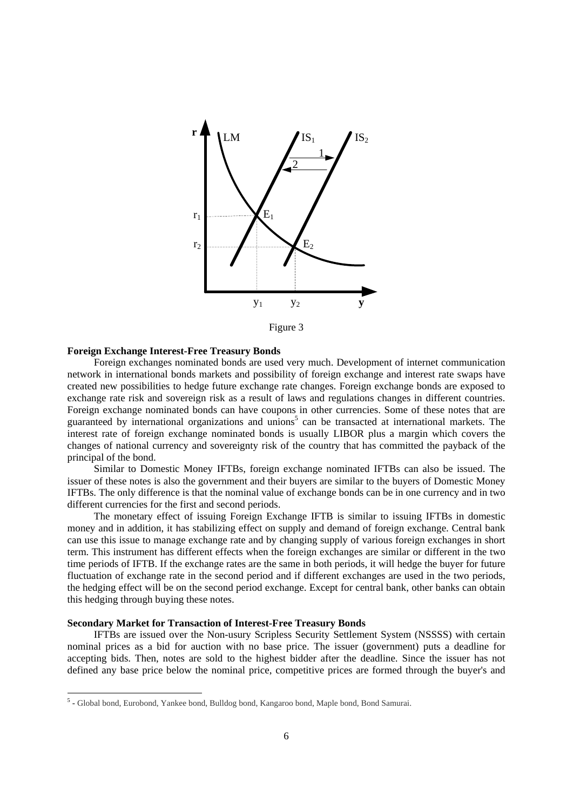

Figure 3

### **Foreign Exchange Interest-Free Treasury Bonds**

Foreign exchanges nominated bonds are used very much. Development of internet communication network in international bonds markets and possibility of foreign exchange and interest rate swaps have created new possibilities to hedge future exchange rate changes. Foreign exchange bonds are exposed to exchange rate risk and sovereign risk as a result of laws and regulations changes in different countries. Foreign exchange nominated bonds can have coupons in other currencies. Some of these notes that are guaranteed by international organizations and unions<sup>5</sup> can be transacted at international markets. The interest rate of foreign exchange nominated bonds is usually LIBOR plus a margin which covers the changes of national currency and sovereignty risk of the country that has committed the payback of the principal of the bond.

Similar to Domestic Money IFTBs, foreign exchange nominated IFTBs can also be issued. The issuer of these notes is also the government and their buyers are similar to the buyers of Domestic Money IFTBs. The only difference is that the nominal value of exchange bonds can be in one currency and in two different currencies for the first and second periods.

The monetary effect of issuing Foreign Exchange IFTB is similar to issuing IFTBs in domestic money and in addition, it has stabilizing effect on supply and demand of foreign exchange. Central bank can use this issue to manage exchange rate and by changing supply of various foreign exchanges in short term. This instrument has different effects when the foreign exchanges are similar or different in the two time periods of IFTB. If the exchange rates are the same in both periods, it will hedge the buyer for future fluctuation of exchange rate in the second period and if different exchanges are used in the two periods, the hedging effect will be on the second period exchange. Except for central bank, other banks can obtain this hedging through buying these notes.

### **Secondary Market for Transaction of Interest-Free Treasury Bonds**

-

IFTBs are issued over the Non-usury Scripless Security Settlement System (NSSSS) with certain nominal prices as a bid for auction with no base price. The issuer (government) puts a deadline for accepting bids. Then, notes are sold to the highest bidder after the deadline. Since the issuer has not defined any base price below the nominal price, competitive prices are formed through the buyer's and

<sup>&</sup>lt;sup>5</sup> - Global bond, Eurobond, Yankee bond, Bulldog bond, Kangaroo bond, Maple bond, Bond Samurai.